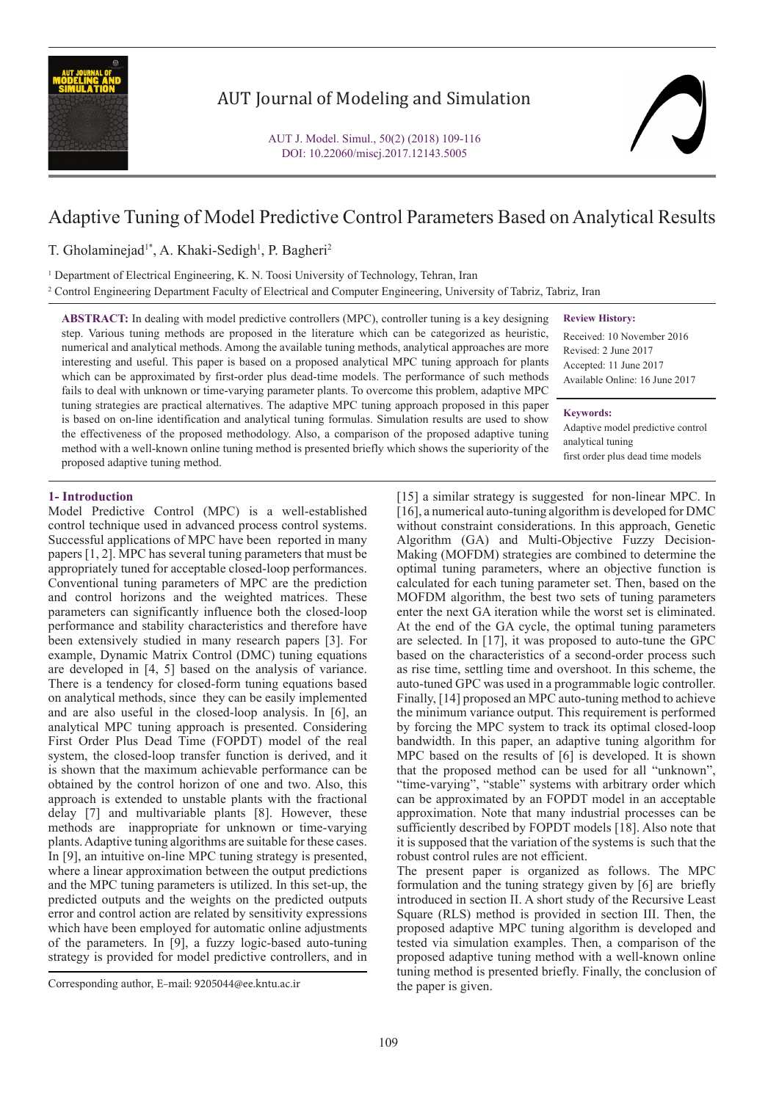

# AUT Journal of Modeling and Simulation

# Adaptive Tuning of Model Predictive Control Parameters Based on Analytical Results

T. Gholaminejad<sup>1\*</sup>, A. Khaki-Sedigh<sup>1</sup>, P. Bagheri<sup>2</sup>

1 Department of Electrical Engineering, K. N. Toosi University of Technology, Tehran, Iran 2 Control Engineering Department Faculty of Electrical and Computer Engineering, University of Tabriz, Tabriz, Iran

**ABSTRACT:** In dealing with model predictive controllers (MPC), controller tuning is a key designing step. Various tuning methods are proposed in the literature which can be categorized as heuristic, numerical and analytical methods. Among the available tuning methods, analytical approaches are more interesting and useful. This paper is based on a proposed analytical MPC tuning approach for plants which can be approximated by first-order plus dead-time models. The performance of such methods fails to deal with unknown or time-varying parameter plants. To overcome this problem, adaptive MPC tuning strategies are practical alternatives. The adaptive MPC tuning approach proposed in this paper is based on on-line identification and analytical tuning formulas. Simulation results are used to show the effectiveness of the proposed methodology. Also, a comparison of the proposed adaptive tuning method with a well-known online tuning method is presented briefly which shows the superiority of the proposed adaptive tuning method.

**Review History:**

Received: 10 November 2016 Revised: 2 June 2017 Accepted: 11 June 2017 Available Online: 16 June 2017

#### **Keywords:**

Adaptive model predictive control analytical tuning first order plus dead time models

#### **1- Introduction**

Model Predictive Control (MPC) is a well-established control technique used in advanced process control systems. Successful applications of MPC have been reported in many papers [1, 2]. MPC has several tuning parameters that must be appropriately tuned for acceptable closed-loop performances. Conventional tuning parameters of MPC are the prediction and control horizons and the weighted matrices. These parameters can significantly influence both the closed-loop performance and stability characteristics and therefore have been extensively studied in many research papers [3]. For example, Dynamic Matrix Control (DMC) tuning equations are developed in [4, 5] based on the analysis of variance. There is a tendency for closed-form tuning equations based on analytical methods, since they can be easily implemented and are also useful in the closed-loop analysis. In [6], an analytical MPC tuning approach is presented. Considering First Order Plus Dead Time (FOPDT) model of the real system, the closed-loop transfer function is derived, and it is shown that the maximum achievable performance can be obtained by the control horizon of one and two. Also, this approach is extended to unstable plants with the fractional delay [7] and multivariable plants [8]. However, these methods are inappropriate for unknown or time-varying plants. Adaptive tuning algorithms are suitable for these cases. In [9], an intuitive on-line MPC tuning strategy is presented, where a linear approximation between the output predictions and the MPC tuning parameters is utilized. In this set-up, the predicted outputs and the weights on the predicted outputs error and control action are related by sensitivity expressions which have been employed for automatic online adjustments of the parameters. In [9], a fuzzy logic-based auto-tuning strategy is provided for model predictive controllers, and in

[15] a similar strategy is suggested for non-linear MPC. In [16], a numerical auto-tuning algorithm is developed for DMC without constraint considerations. In this approach, Genetic Algorithm (GA) and Multi-Objective Fuzzy Decision-Making (MOFDM) strategies are combined to determine the optimal tuning parameters, where an objective function is calculated for each tuning parameter set. Then, based on the MOFDM algorithm, the best two sets of tuning parameters enter the next GA iteration while the worst set is eliminated. At the end of the GA cycle, the optimal tuning parameters are selected. In [17], it was proposed to auto-tune the GPC based on the characteristics of a second-order process such as rise time, settling time and overshoot. In this scheme, the auto-tuned GPC was used in a programmable logic controller. Finally, [14] proposed an MPC auto-tuning method to achieve the minimum variance output. This requirement is performed by forcing the MPC system to track its optimal closed-loop bandwidth. In this paper, an adaptive tuning algorithm for MPC based on the results of [6] is developed. It is shown that the proposed method can be used for all "unknown", "time-varying", "stable" systems with arbitrary order which can be approximated by an FOPDT model in an acceptable approximation. Note that many industrial processes can be sufficiently described by FOPDT models [18]. Also note that it is supposed that the variation of the systems is such that the robust control rules are not efficient.

The present paper is organized as follows. The MPC formulation and the tuning strategy given by [6] are briefly introduced in section II. A short study of the Recursive Least Square (RLS) method is provided in section III. Then, the proposed adaptive MPC tuning algorithm is developed and tested via simulation examples. Then, a comparison of the proposed adaptive tuning method with a well-known online tuning method is presented briefly. Finally, the conclusion of

Corresponding author, E-mail: 9205044@ee.kntu.ac.ir the paper is given.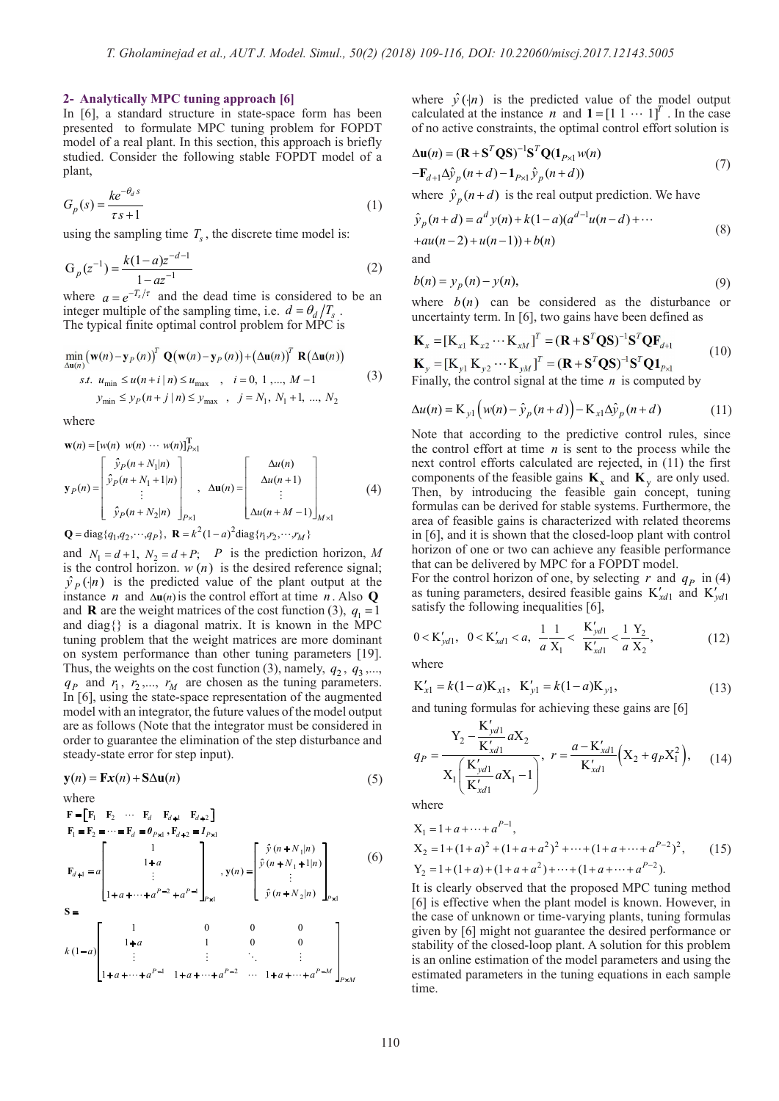#### **2- Analytically MPC tuning approach [6]**

In [6], a standard structure in state-space form has been presented to formulate MPC tuning problem for FOPDT model of a real plant. In this section, this approach is briefly studied. Consider the following stable FOPDT model of a plant,

$$
G_p(s) = \frac{ke^{-\theta_d s}}{\tau s + 1} \tag{1}
$$

using the sampling time  $T<sub>s</sub>$ , the discrete time model is:

$$
G_p(z^{-1}) = \frac{k(1-a)z^{-d-1}}{1 - az^{-1}}
$$
\n(2)

where  $a = e^{-T_s/\tau}$  and the dead time is considered to be an integer multiple of the sampling time, i.e.  $d = \theta_d / T_s$ . The typical finite optimal control problem for MPC is

$$
\min_{\Delta \mathbf{u}(n)} (\mathbf{w}(n) - \mathbf{y}_P(n))^T \mathbf{Q}(\mathbf{w}(n) - \mathbf{y}_P(n)) + (\Delta \mathbf{u}(n))^T \mathbf{R}(\Delta \mathbf{u}(n))
$$
  
*s.t.*  $u_{\text{min}} \le u(n+i|n) \le u_{\text{max}}$ ,  $i = 0, 1, ..., M-1$   
 $y_{\text{min}} \le y_P(n+j|n) \le y_{\text{max}}$ ,  $j = N_1, N_1 + 1, ..., N_2$  (3)

where

$$
\mathbf{w}(n) = [w(n) \ w(n) \cdots w(n)]_{P\times 1}^{\mathrm{T}}
$$
\n
$$
\mathbf{y}_P(n) = \begin{bmatrix} \hat{y}_P(n + N_1|n) \\ \hat{y}_P(n + N_1 + 1|n) \\ \vdots \\ \hat{y}_P(n + N_2|n) \end{bmatrix}_{P\times 1}, \ \Delta \mathbf{u}(n) = \begin{bmatrix} \Delta u(n) \\ \Delta u(n+1) \\ \vdots \\ \Delta u(n + M - 1) \end{bmatrix}_{M\times 1}
$$
\n(4)

**Q** = diag{ $q_1, q_2, \dots, q_p$ }, **R** =  $k^2(1-a)^2$ diag{ $r_1, r_2, \dots, r_M$ }

and  $N_1 = d+1$ ,  $N_2 = d+P$ ; *P* is the prediction horizon, *M* is the control horizon.  $w(n)$  is the desired reference signal;  $\hat{y}_P(|n)$  is the predicted value of the plant output at the instance *n* and  $\Delta u(n)$  is the control effort at time *n*. Also **Q** and diag{} is a diagonal matrix. It is known in the MPC tuning problem that the weight matrices are more dominant on system performance than other tuning parameters [19].  $\hat{y}_P(\cdot | n)$  is the predicted value of  $\hat{y}_P(\cdot | n)$  is the predicted value of instance *n* and  $\Delta \mathbf{u}(n)$  is the control ef and **R** are the weight matrices of the and diag  $\{\}$  is a diagonal matrix. It and **R** are the weight matrices of the cost function (3),  $q_1 = 1$ Thus, the weights on the cost function (3), namely,  $q_2$ ,  $q_3$ ,...,  $q_p$  and  $r_1$ ,  $r_2$ ,...,  $r_M$  are chosen as the tuning parameters. In [6], using the state-space representation of the augmented model with an integrator, the future values of the model output are as follows (Note that the integrator must be considered in order to guarantee the elimination of the step disturbance and steady-state error for step input). where  $y_1 = k(1)$  is the probability of the probability of the probability of the probability of the model of the model of the model of the model of the model of the model of the model of the model of the model of the mode

$$
\mathbf{y}(n) = \mathbf{F}\mathbf{x}(n) + \mathbf{S}\Delta\mathbf{u}(n) \tag{5}
$$

where  
\n
$$
\mathbf{F} = [\mathbf{F}_1 \ \mathbf{F}_2 \ \cdots \ \mathbf{F}_d \ \mathbf{F}_{d+1} \ \mathbf{F}_{d+2}]
$$
\n
$$
\mathbf{F}_1 = \mathbf{F}_2 = \cdots = \mathbf{F}_d = \boldsymbol{\theta}_{P \times 1}, \mathbf{F}_{d+2} = \boldsymbol{I}_{P \times 1}
$$
\n
$$
\mathbf{F}_{d+1} = a \begin{bmatrix} 1 \\ 1 + a \\ \vdots \\ 1 + a + \cdots + a^{P-2} + a^{P-1} \end{bmatrix}_{P \times 1}, \mathbf{y}(n) = \begin{bmatrix} \hat{y}(n + N_1|n) \\ \hat{y}(n + N_1 + 1|n) \\ \vdots \\ \hat{y}(n + N_2|n) \end{bmatrix}_{P \times 1}
$$
\n
$$
\mathbf{S} = \begin{bmatrix} 1 & 0 & 0 & 0 \\ 1 + a & 1 & 0 & 0 \\ \vdots & \vdots & \ddots & \vdots \\ 1 + a + \cdots + a^{P-1} & 1 + a + \cdots + a^{P-2} & \cdots & 1 + a + \cdots + a^{P-M} \end{bmatrix}_{P \times M}
$$
\n
$$
(6)
$$

where  $\hat{y}(\cdot|\boldsymbol{n})$  is the predicted value of the model output calculated at the instance *n* and **1** =  $\begin{bmatrix} 1 & 1 & \cdots & 1 \end{bmatrix}^T$ . In the case of no active constraints, the optimal control effort solution is

$$
\Delta \mathbf{u}(n) = (\mathbf{R} + \mathbf{S}^T \mathbf{Q} \mathbf{S})^{-1} \mathbf{S}^T \mathbf{Q} (\mathbf{1}_{P \times 1} w(n) \n- \mathbf{F}_{d+1} \Delta \hat{y}_p(n+d) - \mathbf{1}_{P \times 1} \hat{y}_p(n+d))
$$
\n(7)

where  $\hat{y}_n(n+d)$  is the real output prediction. We have

$$
\hat{y}_p(n+d) = a^d y(n) + k(1-a)(a^{d-1}u(n-d) + \cdots +au(n-2) + u(n-1)) + b(n)
$$
\n(8)

and

$$
b(n) = y_p(n) - y(n),\tag{9}
$$

where  $b(n)$  can be considered as the disturbance or uncertainty term. In [6], two gains have been defined as

$$
\mathbf{K}_{x} = [\mathbf{K}_{x1} \mathbf{K}_{x2} \cdots \mathbf{K}_{xM}]^{T} = (\mathbf{R} + \mathbf{S}^{T} \mathbf{Q} \mathbf{S})^{-1} \mathbf{S}^{T} \mathbf{Q} \mathbf{F}_{d+1}
$$
\n
$$
\mathbf{K}_{y} = [\mathbf{K}_{y1} \mathbf{K}_{y2} \cdots \mathbf{K}_{yM}]^{T} = (\mathbf{R} + \mathbf{S}^{T} \mathbf{Q} \mathbf{S})^{-1} \mathbf{S}^{T} \mathbf{Q} \mathbf{1}_{p_{x1}} \tag{10}
$$

Finally, the control signal at the time *n* is computed by

$$
\Delta u(n) = \mathbf{K}_{y1} \left( w(n) - \hat{y}_p(n+d) \right) - \mathbf{K}_{x1} \Delta \hat{y}_p(n+d) \tag{11}
$$

Note that according to the predictive control rules, since the control effort at time  $n$  is sent to the process while the next control efforts calculated are rejected, in (11) the first components of the feasible gains  $\mathbf{K}_x$  and  $\mathbf{K}_y$  are only used. Then, by introducing the feasible gain concept, tuning formulas can be derived for stable systems. Furthermore, the area of feasible gains is characterized with related theorems in [6], and it is shown that the closed-loop plant with control horizon of one or two can achieve any feasible performance that can be delivered by MPC for a FOPDT model.

For the control horizon of one, by selecting  $r$  and  $q_p$  in (4) as tuning parameters, desired feasible gains  $K'_{\text{xd1}}$  and  $K'_{\text{xd1}}$ satisfy the following inequalities [6],

$$
0 < K_{ydl}', \quad 0 < K_{xd1}' < a, \quad \frac{1}{a} \frac{1}{X_1} < \frac{K_{ydl}}{K_{xd1}'} < \frac{1}{a} \frac{Y_2}{X_2}, \tag{12}
$$

where

$$
K'_{x1} = k(1-a)K_{x1}, K'_{y1} = k(1-a)K_{y1},
$$
\n(13)

and tuning formulas for achieving these gains are [6]

 $\mathbf{r}$ 

$$
q_P = \frac{Y_2 - \frac{K'_{ydl}}{K'_{xd1}} aX_2}{X_1 \left(\frac{K'_{ydl}}{K'_{xd1}} aX_1 - 1\right)}, \quad r = \frac{a - K'_{xd1}}{K'_{xd1}} \left(X_2 + q_P X_1^2\right), \tag{14}
$$

where

$$
X_1 = 1 + a + \dots + a^{P-1},
$$
  
\n
$$
X_2 = 1 + (1 + a)^2 + (1 + a + a^2)^2 + \dots + (1 + a + \dots + a^{P-2})^2,
$$
  
\n
$$
Y_2 = 1 + (1 + a) + (1 + a + a^2) + \dots + (1 + a + \dots + a^{P-2}).
$$
\n(15)

It is clearly observed that the proposed MPC tuning method [6] is effective when the plant model is known. However, in the case of unknown or time-varying plants, tuning formulas given by [6] might not guarantee the desired performance or stability of the closed-loop plant. A solution for this problem is an online estimation of the model parameters and using the estimated parameters in the tuning equations in each sample time.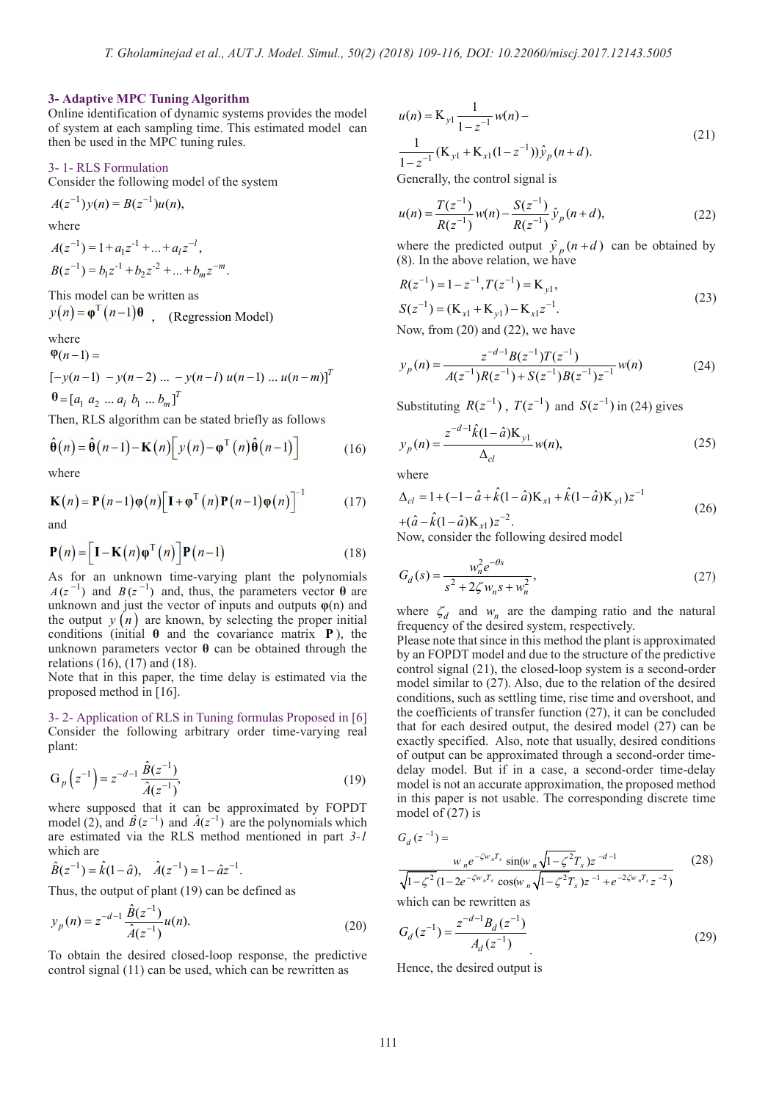## **3- Adaptive MPC Tuning Algorithm**

Online identification of dynamic systems provides the model of system at each sampling time. This estimated model can then be used in the MPC tuning rules.

# 3- 1- RLS Formulation

Consider the following model of the system

 $A(z^{-1})v(n) = B(z^{-1})u(n),$ where  $A(z^{-1}) = 1 + a_1 z^{-1} + ... + a_l z^{-l},$  $B(z^{-1}) = b_1 z^{-1} + b_2 z^{-2} + \dots + b_m z^{-m}.$ 

This model can be written as  $y(n) = \varphi^{n}(n-1)\theta$ , (Regression Model)

where

$$
\Phi(n-1) =
$$
  
[-y(n-1) - y(n-2) ... - y(n-l) u(n-1) ... u(n-m)]<sup>T</sup>

 $\theta = [a_1 \ a_2 \ ... \ a_l \ b_1 \ ... \ b_m]^T$ 

Then, RLS algorithm can be stated briefly as follows

$$
\hat{\boldsymbol{\theta}}(n) = \hat{\boldsymbol{\theta}}(n-1) - \mathbf{K}(n) \big[ y(n) - \boldsymbol{\phi}^{T}(n) \hat{\boldsymbol{\theta}}(n-1) \big] \tag{16}
$$

where

$$
\mathbf{K}(n) = \mathbf{P}(n-1)\varphi(n)\big[\mathbf{I} + \varphi^{T}(n)\mathbf{P}(n-1)\varphi(n)\big]^{-1} \tag{17}
$$

and

$$
\mathbf{P}(n) = \left[\mathbf{I} - \mathbf{K}(n)\mathbf{\varphi}^{\mathrm{T}}(n)\right]\mathbf{P}(n-1)
$$
\n(18)

As for an unknown time-varying plant the polynomials  $A(z^{-1})$  and  $B(z^{-1})$  and, thus, the parameters vector  $\theta$  are unknown and just the vector of inputs and outputs **φ**(n) and the output  $y(n)$  are known, by selecting the proper initial conditions (initial **θ** and the covariance matrix **P** ), the unknown parameters vector **θ** can be obtained through the relations (16), (17) and (18).

Note that in this paper, the time delay is estimated via the proposed method in [16].

3- 2- Application of RLS in Tuning formulas Proposed in [6] Consider the following arbitrary order time-varying real plant:

$$
G_p(z^{-1}) = z^{-d-1} \frac{\hat{B}(z^{-1})}{\hat{A}(z^{-1})},
$$
\n(19)

where supposed that it can be approximated by FOPDT model (2), and  $\hat{B}(z^{-1})$  and  $\hat{A}(z^{-1})$  are the polynomials which are estimated via the RLS method mentioned in part *3-1* which are

 $\hat{B}(z^{-1}) = \hat{k}(1-\hat{a}), \quad \hat{A}(z^{-1}) = 1 - \hat{a}z^{-1}.$ 

Thus, the output of plant (19) can be defined as

$$
y_p(n) = z^{-d-1} \frac{\hat{B}(z^{-1})}{\hat{A}(z^{-1})} u(n).
$$
 (20)

To obtain the desired closed-loop response, the predictive control signal (11) can be used, which can be rewritten as

$$
u(n) = \mathbf{K}_{y1} \frac{1}{1 - z^{-1}} w(n) -
$$
  

$$
\frac{1}{1 - z^{-1}} (\mathbf{K}_{y1} + \mathbf{K}_{x1} (1 - z^{-1})) \hat{y}_p(n + d).
$$
 (21)

Generally, the control signal is

$$
u(n) = \frac{T(z^{-1})}{R(z^{-1})} w(n) - \frac{S(z^{-1})}{R(z^{-1})} \hat{y}_p(n+d),
$$
\n(22)

where the predicted output  $\hat{y}_p(n+d)$  can be obtained by (8). In the above relation, we have

$$
R(z^{-1}) = 1 - z^{-1}, T(z^{-1}) = K_{y1},
$$
  
\n
$$
S(z^{-1}) = (K_{x1} + K_{y1}) - K_{x1}z^{-1}.
$$
\n(23)

Now, from (20) and (22), we have

$$
y_p(n) = \frac{z^{-d-1}B(z^{-1})T(z^{-1})}{A(z^{-1})R(z^{-1})+S(z^{-1})B(z^{-1})z^{-1}}w(n)
$$
 (24)

Substituting  $R(z^{-1})$ ,  $T(z^{-1})$  and  $S(z^{-1})$  in (24) gives

$$
y_p(n) = \frac{z^{-d-1}\hat{k}(1-\hat{a})K_{y1}}{\Delta_{cl}} w(n),
$$
\n(25)

where

$$
\Delta_{cl} = 1 + (-1 - \hat{a} + \hat{k}(1 - \hat{a})\mathbf{K}_{x1} + \hat{k}(1 - \hat{a})\mathbf{K}_{y1})z^{-1} + (\hat{a} - \hat{k}(1 - \hat{a})\mathbf{K}_{x1})z^{-2}.
$$
 (26)

Now, consider the following desired model

$$
G_d(s) = \frac{w_n^2 e^{-\theta s}}{s^2 + 2\zeta w_n s + w_n^2},
$$
\n(27)

where  $\zeta_d$  and  $w_n$  are the damping ratio and the natural frequency of the desired system, respectively.

Please note that since in this method the plant is approximated by an FOPDT model and due to the structure of the predictive control signal (21), the closed-loop system is a second-order model similar to (27). Also, due to the relation of the desired conditions, such as settling time, rise time and overshoot, and the coefficients of transfer function (27), it can be concluded that for each desired output, the desired model (27) can be exactly specified. Also, note that usually, desired conditions of output can be approximated through a second-order timedelay model. But if in a case, a second-order time-delay model is not an accurate approximation, the proposed method in this paper is not usable. The corresponding discrete time model of (27) is

 $G_d(z^{-1}) =$ 

$$
\frac{w_n e^{-\zeta w_n T_s} \sin(w_n \sqrt{1 - \zeta^2} T_s) z^{-d-1}}{\sqrt{1 - \zeta^2} (1 - 2e^{-\zeta w_n T_s} \cos(w_n \sqrt{1 - \zeta^2} T_s) z^{-1} + e^{-2\zeta w_n T_s} z^{-2})}
$$
(28)

which can be rewritten as

$$
G_d(z^{-1}) = \frac{z^{-d-1}B_d(z^{-1})}{A_d(z^{-1})}
$$
\n(29)

Hence, the desired output is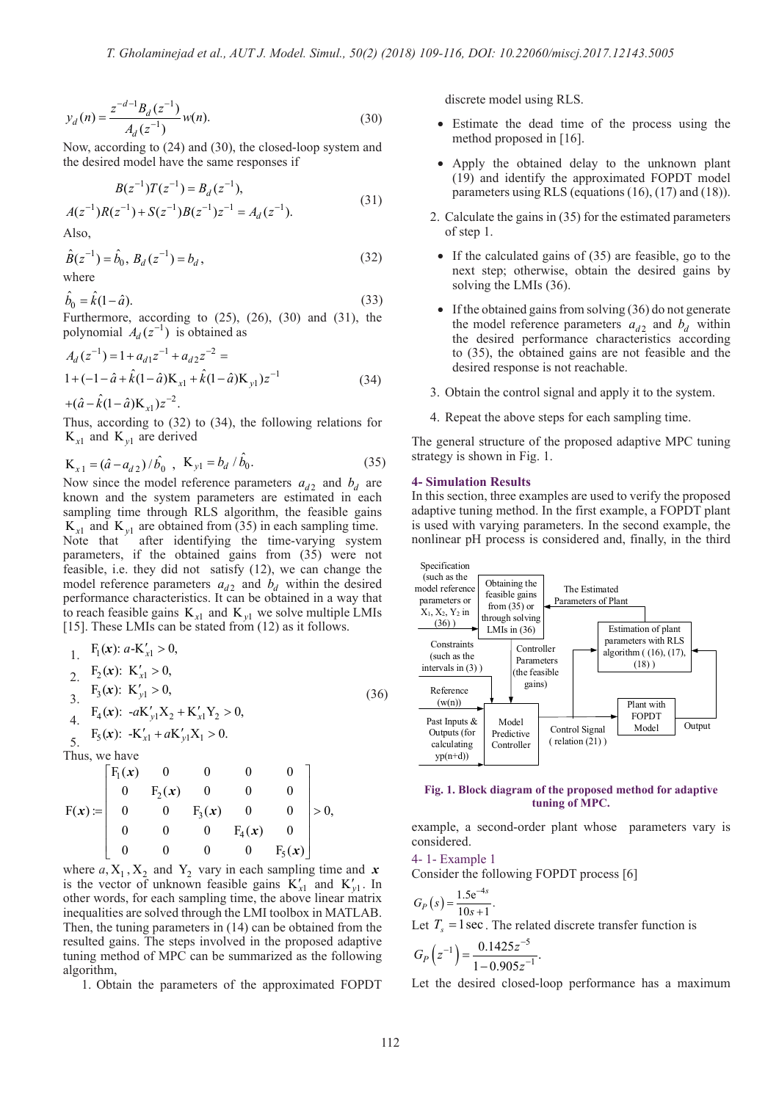$$
y_d(n) = \frac{z^{-d-1}B_d(z^{-1})}{A_d(z^{-1})}w(n).
$$
 (30)

Now, according to (24) and (30), the closed-loop system and the desired model have the same responses if

$$
B(z^{-1})T(z^{-1}) = B_d(z^{-1}),
$$
\n
$$
B(z^{-1}) = B(z^{-1})B(z^{-1}) = 1 \quad (z = 1)
$$
\n(31)

 $A(z^{-1})R(z^{-1})+S(z^{-1})B(z^{-1})z^{-1}=A_d(z^{-1}).$ 

Also,

$$
\hat{B}(z^{-1}) = \hat{b}_0, B_d(z^{-1}) = b_d,
$$
\nwhere (32)

$$
\hat{b}_0 = \hat{k}(1-\hat{a}).\tag{33}
$$

Furthermore, according to  $(25)$ ,  $(26)$ ,  $(30)$  and  $(31)$ , the polynomial  $A_d(z^{-1})$  is obtained as

$$
A_d(z^{-1}) = 1 + a_{d1}z^{-1} + a_{d2}z^{-2} =
$$
  
1 + (-1 -  $\hat{a}$  +  $\hat{k}$ (1 -  $\hat{a}$ )K<sub>x1</sub> +  $\hat{k}$ (1 -  $\hat{a}$ )K<sub>y1</sub>)z<sup>-1</sup> (34)

 $+(\hat{a}-\hat{k}(1-\hat{a})\mathbf{K}_{x1})z^{-2}$ . Thus, according to (32) to (34), the following relations for  $K_{v1}$  and  $K_{v1}$  are derived

$$
K_{x1} = (\hat{a} - a_{d2}) / \hat{b}_0 , K_{y1} = b_d / \hat{b}_0.
$$
 (35)

Now since the model reference parameters  $a_{d2}$  and  $b_d$  are known and the system parameters are estimated in each sampling time through RLS algorithm, the feasible gains  $K_{x1}$  and  $K_{y1}$  are obtained from (35) in each sampling time. Note that after identifying the time-varying system parameters, if the obtained gains from (35) were not feasible, i.e. they did not satisfy (12), we can change the model reference parameters  $a_{d2}$  and  $b_d$  within the desired performance characteristics. It can be obtained in a way that to reach feasible gains  $K_{x1}$  and  $K_{y1}$  we solve multiple LMIs [15]. These LMIs can be stated from (12) as it follows.

1. 
$$
F_1(x): a-K'_{x1} > 0,
$$
  
\n2.  $F_2(x): K'_{x1} > 0,$   
\n3.  $F_3(x): K'_{y1} > 0,$   
\n4.  $F_4(x): -aK'_{y1}X_2 + K'_{x1}Y_2 > 0,$   
\n5.  $F_5(x): -K'_{x1} + aK'_{y1}X_1 > 0.$  (36)

Thus, we have

$$
F(x) := \begin{bmatrix} F_1(x) & 0 & 0 & 0 & 0 \ 0 & F_2(x) & 0 & 0 & 0 \ 0 & 0 & F_3(x) & 0 & 0 \ 0 & 0 & 0 & F_4(x) & 0 \ 0 & 0 & 0 & 0 & F_5(x) \end{bmatrix} > 0,
$$

where  $a, X_1, X_2$  and  $Y_2$  vary in each sampling time and  $x$ is the vector of unknown feasible gains  $K'_{x1}$  and  $K'_{y1}$ . In other words, for each sampling time, the above linear matrix inequalities are solved through the LMI toolbox in MATLAB. Then, the tuning parameters in (14) can be obtained from the resulted gains. The steps involved in the proposed adaptive tuning method of MPC can be summarized as the following algorithm,

1. Obtain the parameters of the approximated FOPDT

discrete model using RLS.

- Estimate the dead time of the process using the method proposed in [16].
- • Apply the obtained delay to the unknown plant (19) and identify the approximated FOPDT model parameters using RLS (equations (16), (17) and (18)).
- 2. Calculate the gains in (35) for the estimated parameters of step 1.
- If the calculated gains of (35) are feasible, go to the next step; otherwise, obtain the desired gains by solving the LMIs (36).
- If the obtained gains from solving  $(36)$  do not generate the model reference parameters  $a_{d2}$  and  $b_d$  within the desired performance characteristics according to (35), the obtained gains are not feasible and the desired response is not reachable.
- 3. Obtain the control signal and apply it to the system.
- 4. Repeat the above steps for each sampling time.

The general structure of the proposed adaptive MPC tuning strategy is shown in Fig. 1.

#### **4- Simulation Results**

In this section, three examples are used to verify the proposed adaptive tuning method. In the first example, a FOPDT plant is used with varying parameters. In the second example, the nonlinear pH process is considered and, finally, in the third



#### **Fig. 1. Block diagram of the proposed method for adaptive tuning of MPC.**

example, a second-order plant whose parameters vary is considered.

4- 1- Example 1

Consider the following FOPDT process [6]

$$
G_P(s) = \frac{1.5e^{-4s}}{10s + 1}.
$$
  
Let  $T_s = 1$  sec. The related discrete transfer function is

$$
G_P(z^{-1}) = \frac{0.1425z^{-5}}{1 - 0.905z^{-1}}.
$$

Let the desired closed-loop performance has a maximum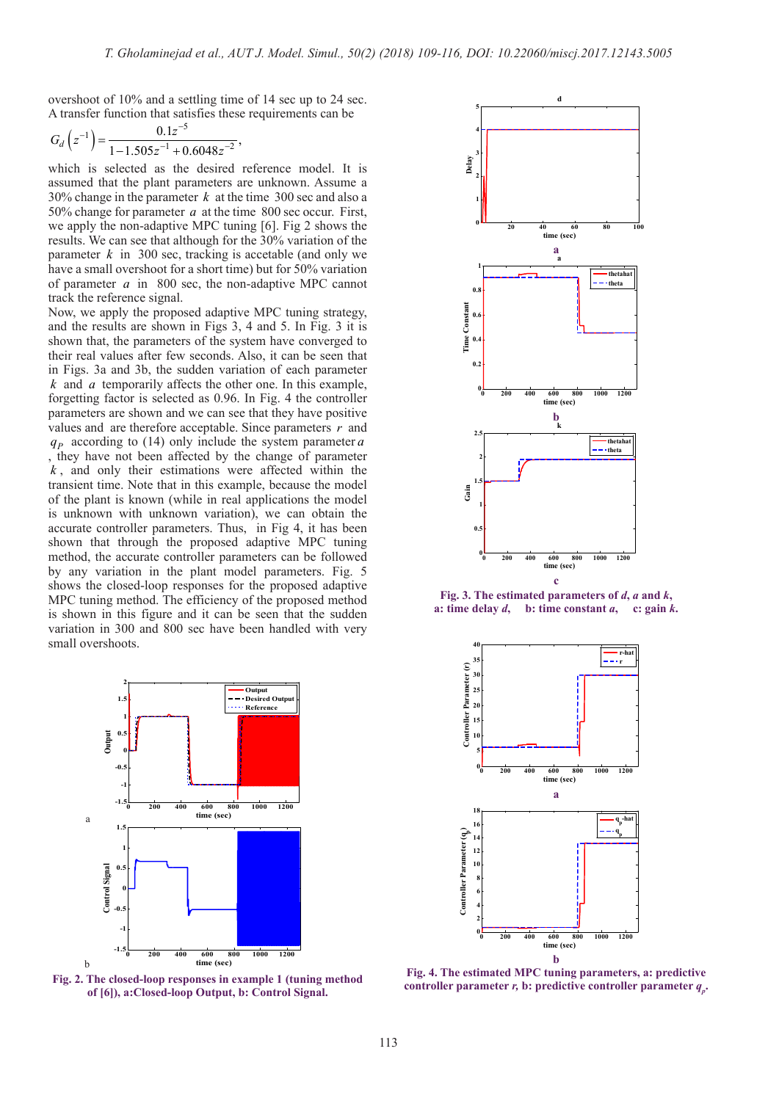overshoot of 10% and a settling time of 14 sec up to 24 sec. A transfer function that satisfies these requirements can be

$$
G_d\left(z^{-1}\right) = \frac{0.1z^{-5}}{1 - 1.505z^{-1} + 0.6048z^{-2}},
$$

which is selected as the desired reference model. It is assumed that the plant parameters are unknown. Assume a 30% change in the parameter *k* at the time 300 sec and also a 50% change for parameter *a* at the time 800 sec occur. First, we apply the non-adaptive MPC tuning [6]. Fig 2 shows the results. We can see that although for the 30% variation of the parameter  $k$  in 300 sec, tracking is accetable (and only we have a small overshoot for a short time) but for 50% variation of parameter *a* in 800 sec, the non-adaptive MPC cannot track the reference signal.

Now, we apply the proposed adaptive MPC tuning strategy, and the results are shown in Figs 3, 4 and 5. In Fig. 3 it is shown that, the parameters of the system have converged to their real values after few seconds. Also, it can be seen that in Figs. 3a and 3b, the sudden variation of each parameter *k* and *a* temporarily affects the other one. In this example, forgetting factor is selected as 0.96. In Fig. 4 the controller parameters are shown and we can see that they have positive values and are therefore acceptable. Since parameters *r* and  $q_p$  according to (14) only include the system parameter *a* , they have not been affected by the change of parameter *k* , and only their estimations were affected within the transient time. Note that in this example, because the model of the plant is known (while in real applications the model is unknown with unknown variation), we can obtain the accurate controller parameters. Thus, in Fig 4, it has been shown that through the proposed adaptive MPC tuning method, the accurate controller parameters can be followed by any variation in the plant model parameters. Fig. 5 shows the closed-loop responses for the proposed adaptive MPC tuning method. The efficiency of the proposed method is shown in this figure and it can be seen that the sudden variation in 300 and 800 sec have been handled with very small overshoots.







**Fig. 3. The estimated parameters of** *d***,** *a* **and** *k***,** a: time delay  $d$ , b: time constant  $a$ , c: gain  $k$ .



**Fig. 4. The estimated MPC tuning parameters, a: predictive controller parameter** *r***, <b>b**: predictive controller parameter  $q_p$ .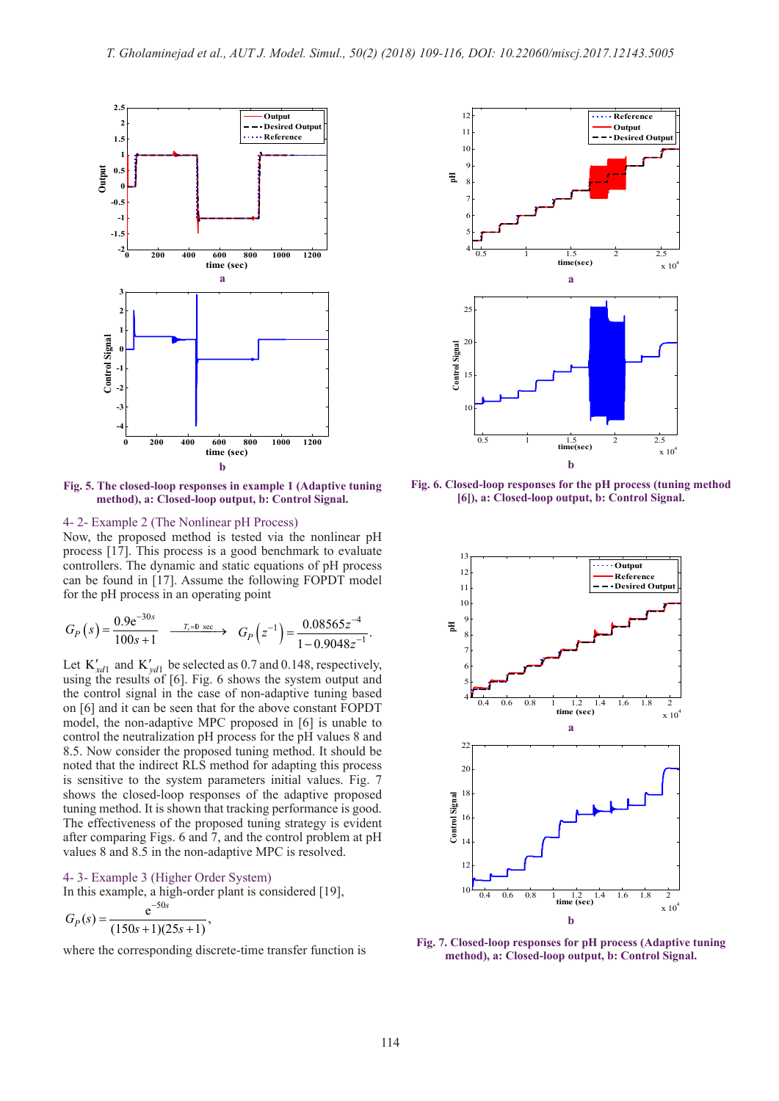

**Fig. 5. The closed-loop responses in example 1 (Adaptive tuning method), a: Closed-loop output, b: Control Signal.**

# 4- 2- Example 2 (The Nonlinear pH Process)

Now, the proposed method is tested via the nonlinear pH process [17]. This process is a good benchmark to evaluate controllers. The dynamic and static equations of pH process can be found in [17]. Assume the following FOPDT model for the pH process in an operating point

$$
G_P(s) = \frac{0.9e^{-30s}}{100s + 1} \xrightarrow{T_s = 0 \text{ sec}} G_P(z^{-1}) = \frac{0.08565z^{-4}}{1 - 0.9048z^{-1}}.
$$

Let  $K'_{xd1}$  and  $K'_{vd1}$  be selected as 0.7 and 0.148, respectively, using the results of [6]. Fig. 6 shows the system output and the control signal in the case of non-adaptive tuning based on [6] and it can be seen that for the above constant FOPDT model, the non-adaptive MPC proposed in [6] is unable to control the neutralization pH process for the pH values 8 and 8.5. Now consider the proposed tuning method. It should be noted that the indirect RLS method for adapting this process is sensitive to the system parameters initial values. Fig. 7 shows the closed-loop responses of the adaptive proposed tuning method. It is shown that tracking performance is good. The effectiveness of the proposed tuning strategy is evident after comparing Figs. 6 and 7, and the control problem at pH values 8 and 8.5 in the non-adaptive MPC is resolved.

#### 4- 3- Example 3 (Higher Order System)

In this example, a high-order plant is considered [19],  $s_P(s) = \frac{e^{-50s}}{(150s+1)(25s+1)},$ *s* −  $G<sub>s</sub>(s) =$ 

$$
G_P(s) = \frac{c}{(150s+1)(25s+1)},
$$

where the corresponding discrete-time transfer function is



**Fig. 6. Closed-loop responses for the pH process (tuning method [6]), a: Closed-loop output, b: Control Signal.**



**Fig. 7. Closed-loop responses for pH process (Adaptive tuning method), a: Closed-loop output, b: Control Signal.**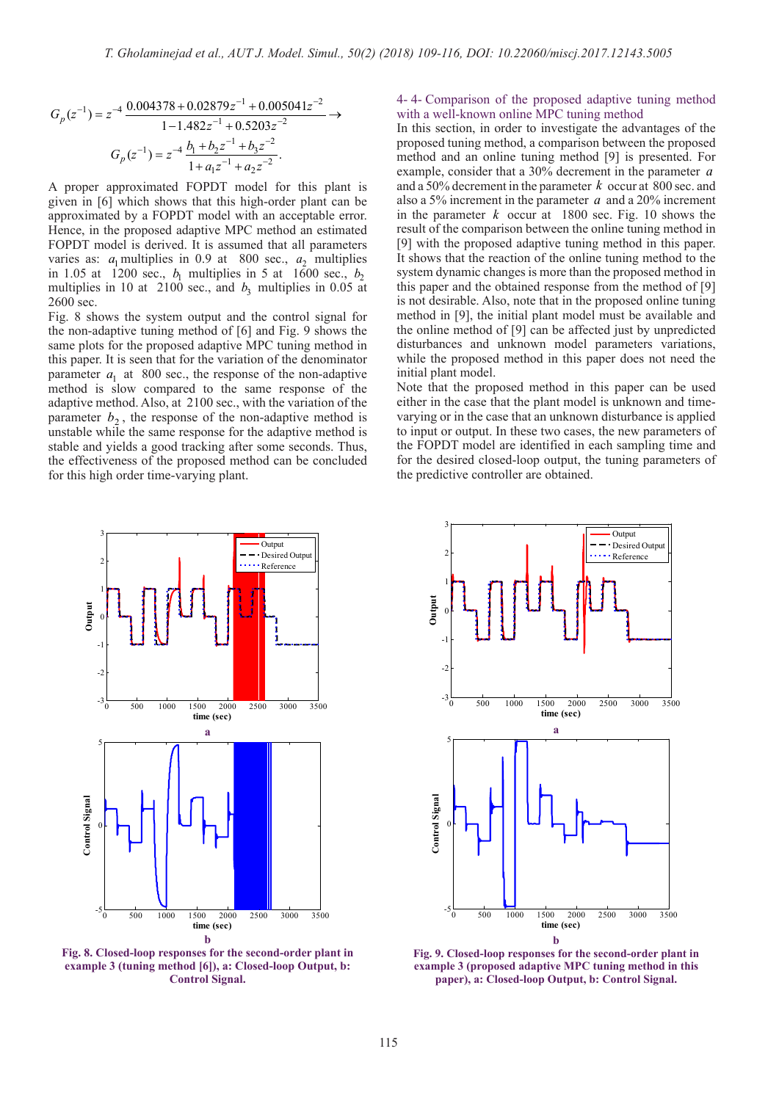$$
G_p(z^{-1}) = z^{-4} \frac{0.004378 + 0.02879z^{-1} + 0.005041z^{-2}}{1 - 1.482z^{-1} + 0.5203z^{-2}} \rightarrow
$$
  

$$
G_p(z^{-1}) = z^{-4} \frac{b_1 + b_2 z^{-1} + b_3 z^{-2}}{1 + a_1 z^{-1} + a_2 z^{-2}}.
$$

A proper approximated FOPDT model for this plant is given in [6] which shows that this high-order plant can be approximated by a FOPDT model with an acceptable error. Hence, in the proposed adaptive MPC method an estimated FOPDT model is derived. It is assumed that all parameters varies as:  $a_1$  multiplies in 0.9 at 800 sec.,  $a_2$  multiplies in 1.05 at 1200 sec.,  $b_1$  multiplies in 5 at 1600 sec.,  $b_2$ multiplies in 10 at 2100 sec., and  $b_3$  multiplies in 0.05 at 2600 sec.

Fig. 8 shows the system output and the control signal for the non-adaptive tuning method of [6] and Fig. 9 shows the same plots for the proposed adaptive MPC tuning method in this paper. It is seen that for the variation of the denominator parameter  $a_1$  at 800 sec., the response of the non-adaptive method is slow compared to the same response of the adaptive method. Also, at 2100 sec., with the variation of the parameter  $b_2$ , the response of the non-adaptive method is unstable while the same response for the adaptive method is stable and yields a good tracking after some seconds. Thus, the effectiveness of the proposed method can be concluded for this high order time-varying plant.

# 4- 4- Comparison of the proposed adaptive tuning method with a well-known online MPC tuning method

In this section, in order to investigate the advantages of the proposed tuning method, a comparison between the proposed method and an online tuning method [9] is presented. For example, consider that a 30% decrement in the parameter *a* and a 50% decrement in the parameter *k* occur at 800 sec. and also a 5% increment in the parameter *a* and a 20% increment in the parameter  $k$  occur at 1800 sec. Fig. 10 shows the result of the comparison between the online tuning method in [9] with the proposed adaptive tuning method in this paper. It shows that the reaction of the online tuning method to the system dynamic changes is more than the proposed method in this paper and the obtained response from the method of [9] is not desirable. Also, note that in the proposed online tuning method in [9], the initial plant model must be available and the online method of [9] can be affected just by unpredicted disturbances and unknown model parameters variations, while the proposed method in this paper does not need the initial plant model.

Note that the proposed method in this paper can be used either in the case that the plant model is unknown and timevarying or in the case that an unknown disturbance is applied to input or output. In these two cases, the new parameters of the FOPDT model are identified in each sampling time and for the desired closed-loop output, the tuning parameters of the predictive controller are obtained.



**Fig. 8. Closed-loop responses for the second-order plant in example 3 (tuning method [6]), a: Closed-loop Output, b: Control Signal.**



**Fig. 9. Closed-loop responses for the second-order plant in example 3 (proposed adaptive MPC tuning method in this paper), a: Closed-loop Output, b: Control Signal.**